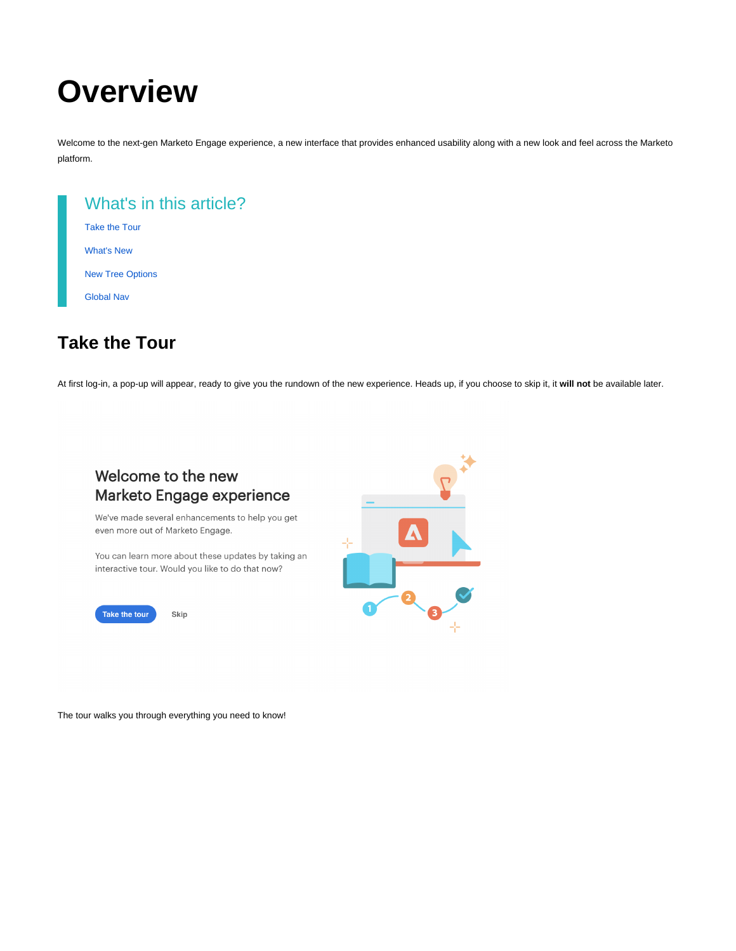# **Overview**

Welcome to the next-gen Marketo Engage experience, a new interface that provides enhanced usability along with a new look and feel across the Marketo platform.

| What's in this article? |
|-------------------------|
| <b>Take the Tour</b>    |
| <b>What's New</b>       |
| <b>New Tree Options</b> |
| <b>Global Nav</b>       |
|                         |

## <span id="page-0-0"></span>**Take the Tour**

At first log-in, a pop-up will appear, ready to give you the rundown of the new experience. Heads up, if you choose to skip it, it **will not** be available later.



The tour walks you through everything you need to know!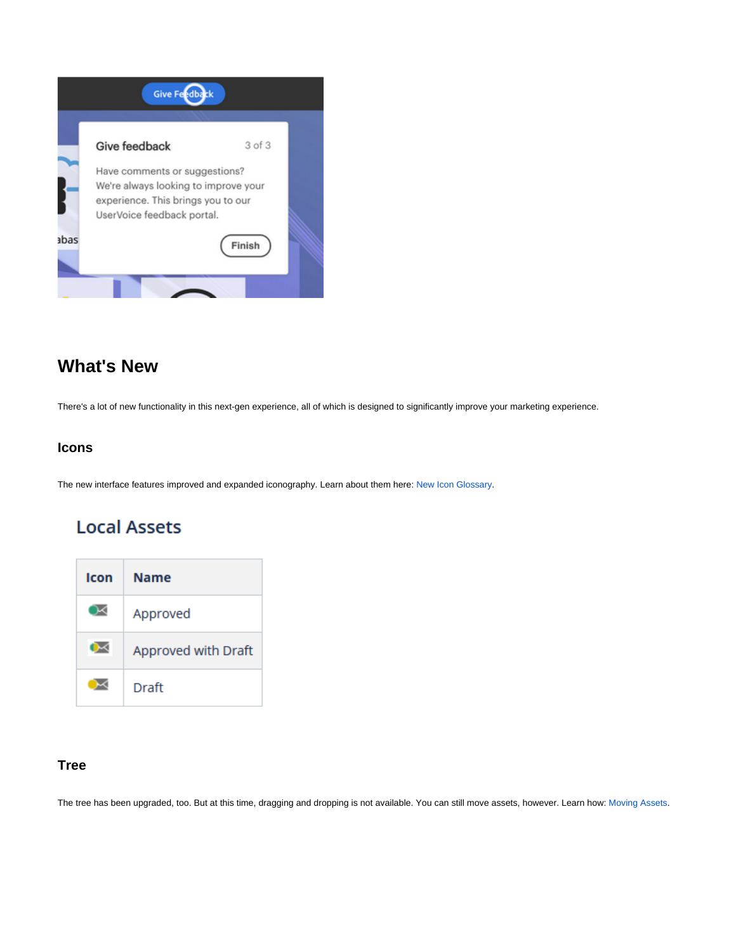

### <span id="page-1-0"></span>**What's New**

There's a lot of new functionality in this next-gen experience, all of which is designed to significantly improve your marketing experience.

#### **Icons**

The new interface features improved and expanded iconography. Learn about them here: [New Icon Glossary](http://docs.marketo.com/x/CgC1Ag).

## **Local Assets**



#### **Tree**

The tree has been upgraded, too. But at this time, dragging and dropping is not available. You can still move assets, however. Learn how: [Moving Assets](http://docs.marketo.com/x/CQG1Ag).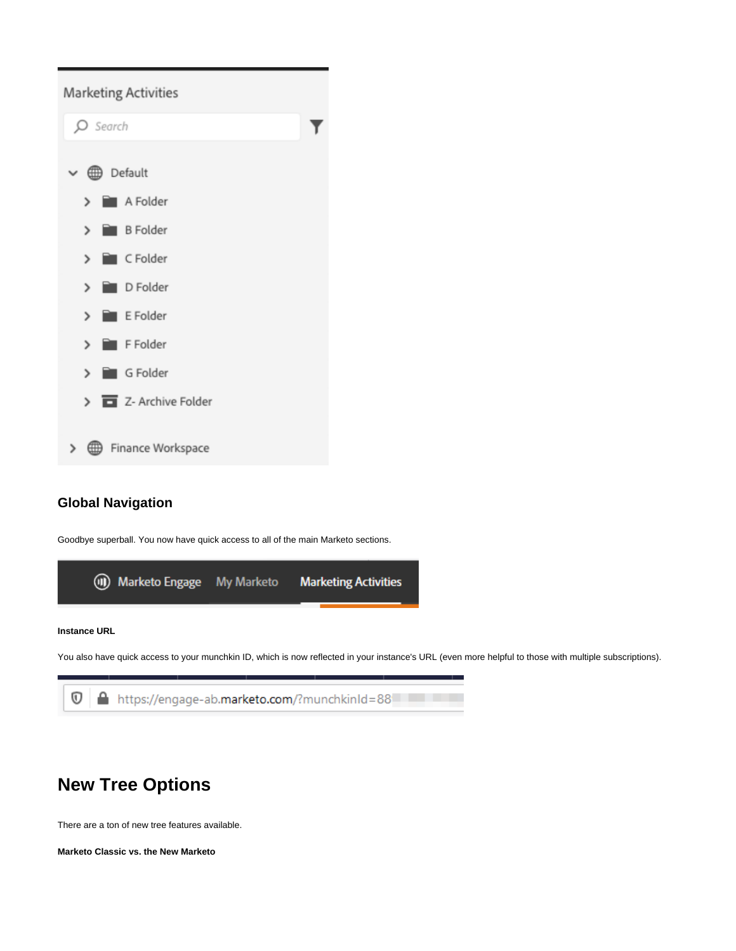

#### **Global Navigation**

Goodbye superball. You now have quick access to all of the main Marketo sections.





## <span id="page-2-0"></span>**New Tree Options**

There are a ton of new tree features available.

**Marketo Classic vs. the New Marketo**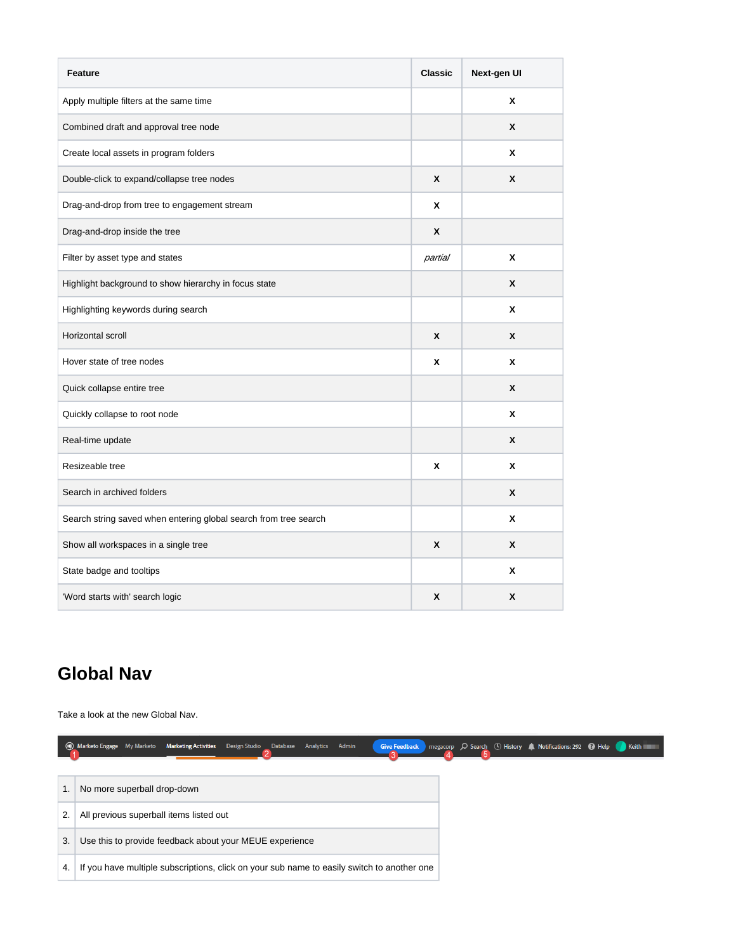| <b>Feature</b>                                                   | <b>Classic</b> | Next-gen UI |
|------------------------------------------------------------------|----------------|-------------|
| Apply multiple filters at the same time                          |                | X           |
| Combined draft and approval tree node                            |                | X           |
| Create local assets in program folders                           |                | X           |
| Double-click to expand/collapse tree nodes                       | X              | X           |
| Drag-and-drop from tree to engagement stream                     | x              |             |
| Drag-and-drop inside the tree                                    | X              |             |
| Filter by asset type and states                                  | partial        | X           |
| Highlight background to show hierarchy in focus state            |                | X           |
| Highlighting keywords during search                              |                | X           |
| Horizontal scroll                                                | X              | X           |
| Hover state of tree nodes                                        | x              | X           |
| Quick collapse entire tree                                       |                | X           |
| Quickly collapse to root node                                    |                | X           |
| Real-time update                                                 |                | X           |
| Resizeable tree                                                  | x              | x           |
| Search in archived folders                                       |                | X           |
| Search string saved when entering global search from tree search |                | x           |
| Show all workspaces in a single tree                             | X              | X           |
| State badge and tooltips                                         |                | X           |
| 'Word starts with' search logic                                  | X              | X           |

## <span id="page-3-0"></span>**Global Nav**

Take a look at the new Global Nav.

|    | (II) Marketo Engage My Marketo Marketing Activities<br>Design Studio Database Analytics Admin<br><b>Give Feedback</b> |  | megacorp C Search (1) History A Notifications: 292 C Help C Keith |  |
|----|-----------------------------------------------------------------------------------------------------------------------|--|-------------------------------------------------------------------|--|
|    |                                                                                                                       |  |                                                                   |  |
|    | No more superball drop-down                                                                                           |  |                                                                   |  |
| 2. | All previous superball items listed out                                                                               |  |                                                                   |  |
| 3. | Use this to provide feedback about your MEUE experience                                                               |  |                                                                   |  |
| 4. | If you have multiple subscriptions, click on your sub name to easily switch to another one                            |  |                                                                   |  |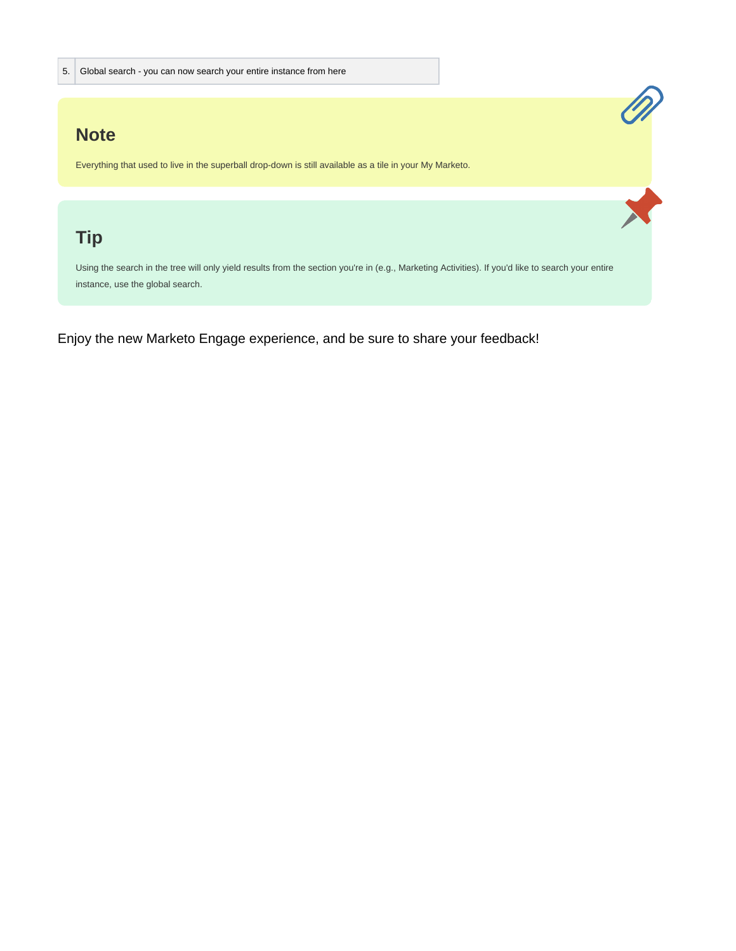### **Note**

Everything that used to live in the superball drop-down is still available as a tile in your My Marketo.

## **Tip**

Using the search in the tree will only yield results from the section you're in (e.g., Marketing Activities). If you'd like to search your entire instance, use the global search.

ON STRAIGHT

Enjoy the new Marketo Engage experience, and be sure to share your feedback!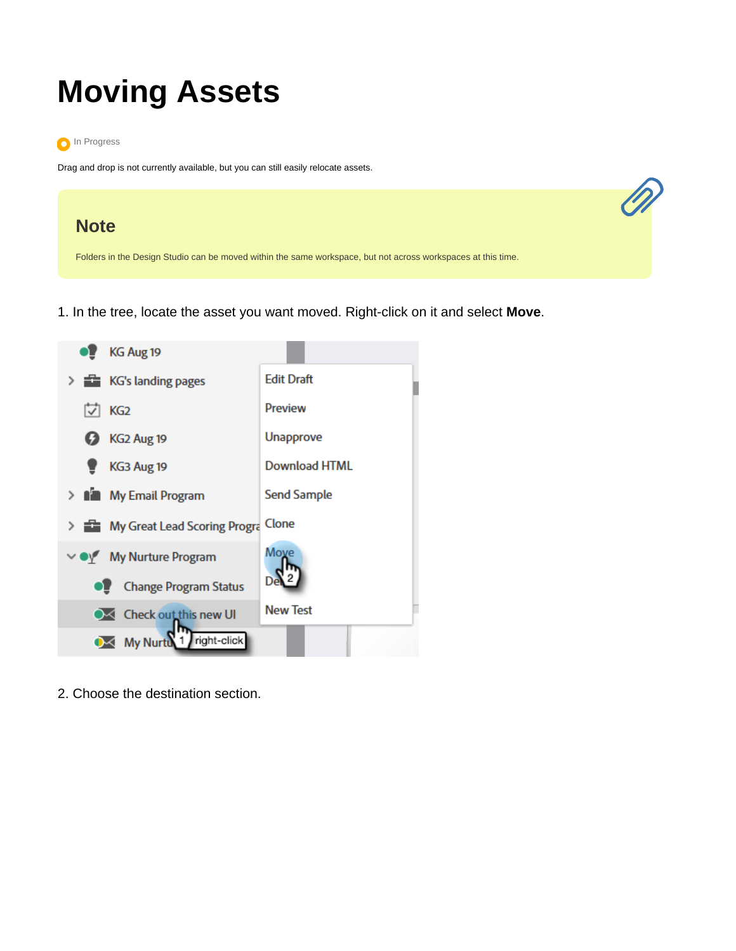# **Moving Assets**



Drag and drop is not currently available, but you can still easily relocate assets.



1. In the tree, locate the asset you want moved. Right-click on it and select **Move**.



2. Choose the destination section.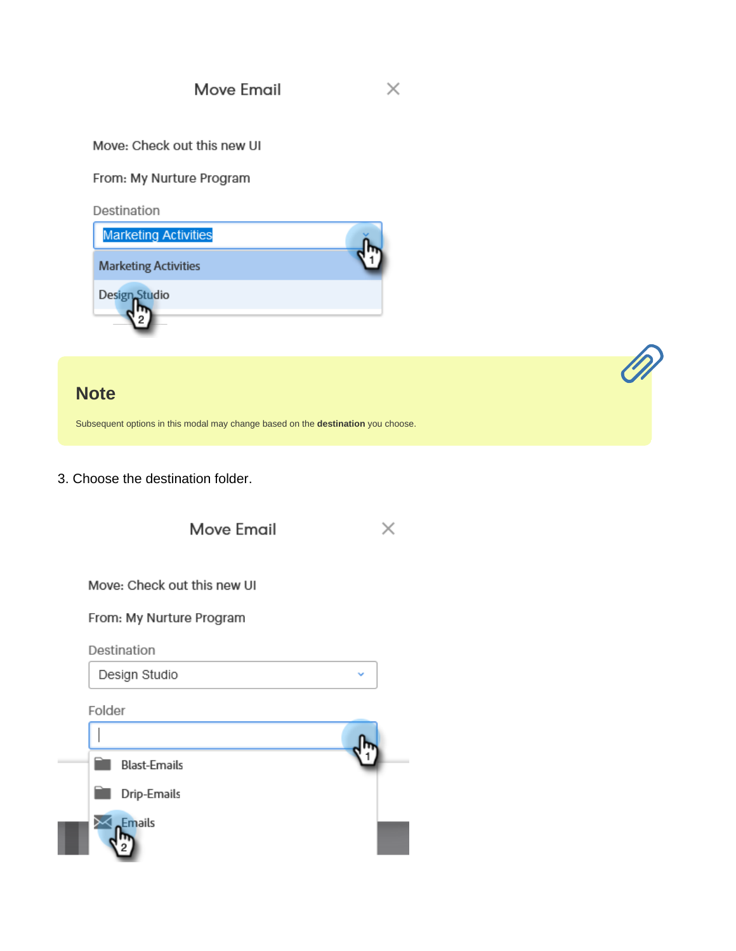**Move Email** 

#### Move: Check out this new UI

#### From: My Nurture Program

Destination



### **Note**

Subsequent options in this modal may change based on the destination you choose.

3. Choose the destination folder.



 $\times$ 

Q

Move: Check out this new UI

From: My Nurture Program

Destination

Design Studio

Folder

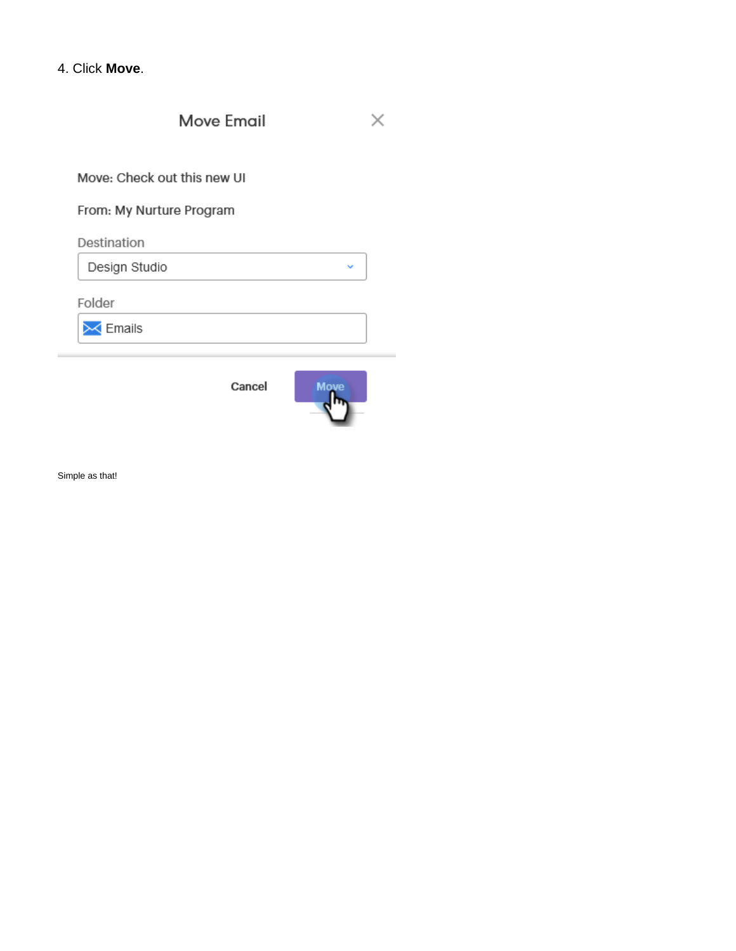|  |  | 4. Click Move. |
|--|--|----------------|
|--|--|----------------|

Move Email  $\times$ 

Move: Check out this new UI

From: My Nurture Program

Destination

Design Studio

Folder

 $\mathbin{\times}$  Emails

Cancel



Ĝ.

Simple as that!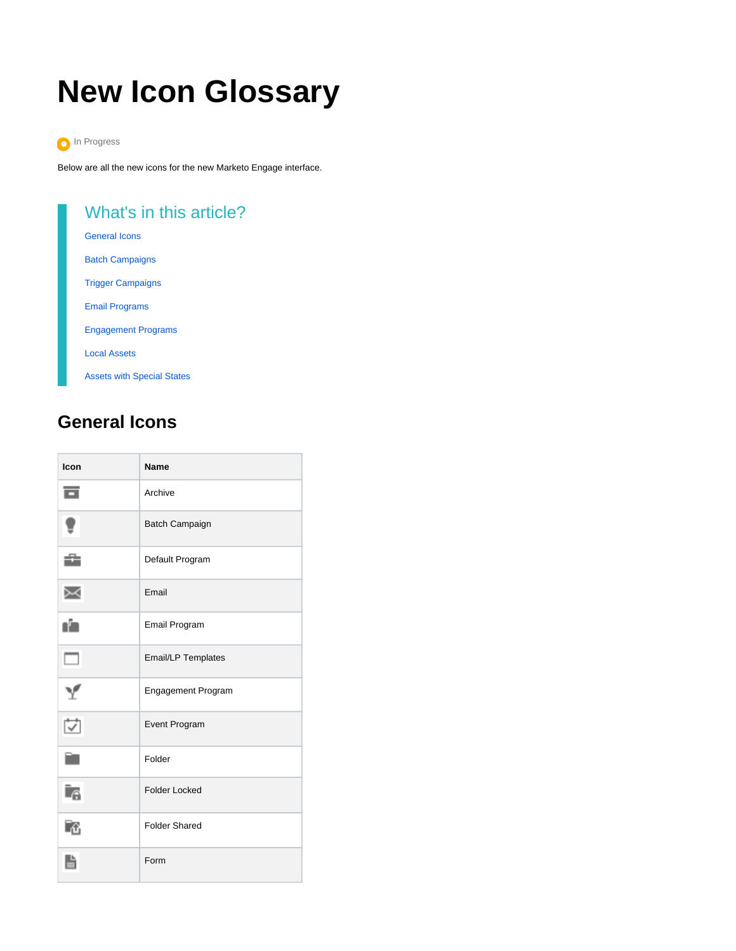# **New Icon Glossary**



Below are all the new icons for the new Marketo Engage interface.

| What's in this article?           |
|-----------------------------------|
| <b>General Icons</b>              |
| <b>Batch Campaigns</b>            |
| <b>Trigger Campaigns</b>          |
| <b>Email Programs</b>             |
| <b>Engagement Programs</b>        |
| <b>Local Assets</b>               |
| <b>Assets with Special States</b> |
|                                   |

# <span id="page-8-0"></span>**General Icons**

| Icon                         | <b>Name</b>               |
|------------------------------|---------------------------|
| ᇹ                            | Archive                   |
| ŧ                            | <b>Batch Campaign</b>     |
| û                            | Default Program           |
| Χ                            | Email                     |
| ı'n                          | Email Program             |
| $\Box$                       | <b>Email/LP Templates</b> |
| Y                            | <b>Engagement Program</b> |
| $\overleftrightarrow{\cdot}$ | <b>Event Program</b>      |
| r.                           | Folder                    |
| Ìß                           | <b>Folder Locked</b>      |
| r.                           | <b>Folder Shared</b>      |
|                              | Form                      |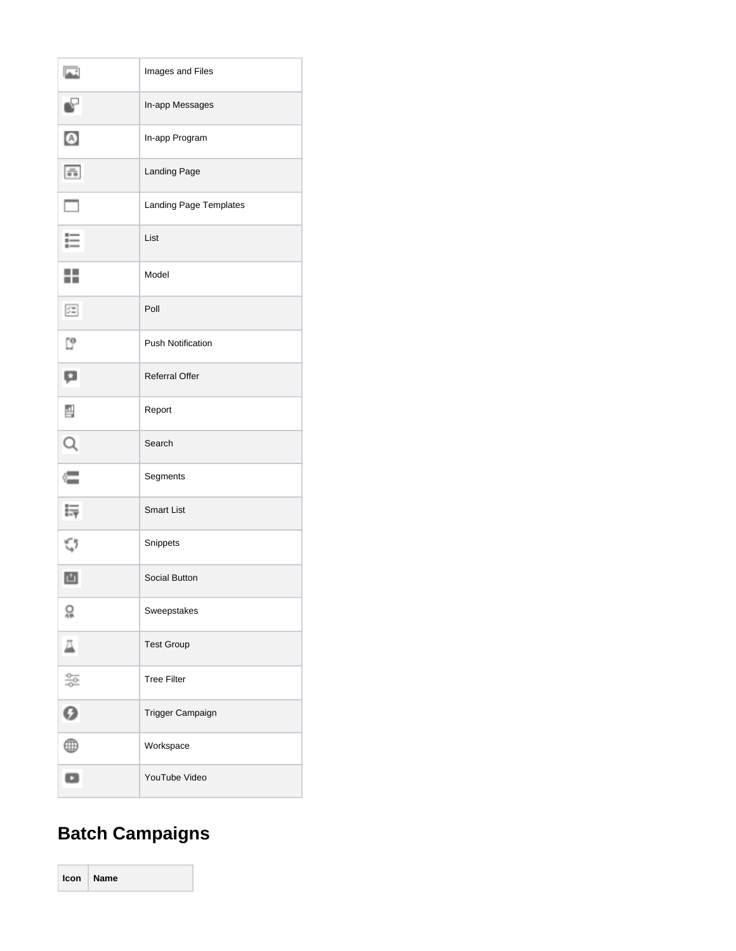| 區                             | Images and Files         |
|-------------------------------|--------------------------|
| $\mathbf{e}$                  | In-app Messages          |
| $\bullet$                     | In-app Program           |
| $\frac{m}{\pi \, \mathrm{m}}$ | Landing Page             |
| $\Box$                        | Landing Page Templates   |
| ⋿                             | List                     |
| ÷                             | Model                    |
| 妇                             | Poll                     |
| 5                             | <b>Push Notification</b> |
| Ģ                             | <b>Referral Offer</b>    |
| 끰                             | Report                   |
| $\alpha$                      | Search                   |
| ⋐                             | Segments                 |
| Ę                             | <b>Smart List</b>        |
| \$                            | Snippets                 |
| 凸                             | <b>Social Button</b>     |
| 읐                             | Sweepstakes              |
| $\overline{\mathbb{A}}$       | <b>Test Group</b>        |
| 뜵                             | <b>Tree Filter</b>       |
| 0                             | Trigger Campaign         |
| ⊕                             | Workspace                |
| o                             | YouTube Video            |

# <span id="page-9-0"></span>**Batch Campaigns**

**Icon Name**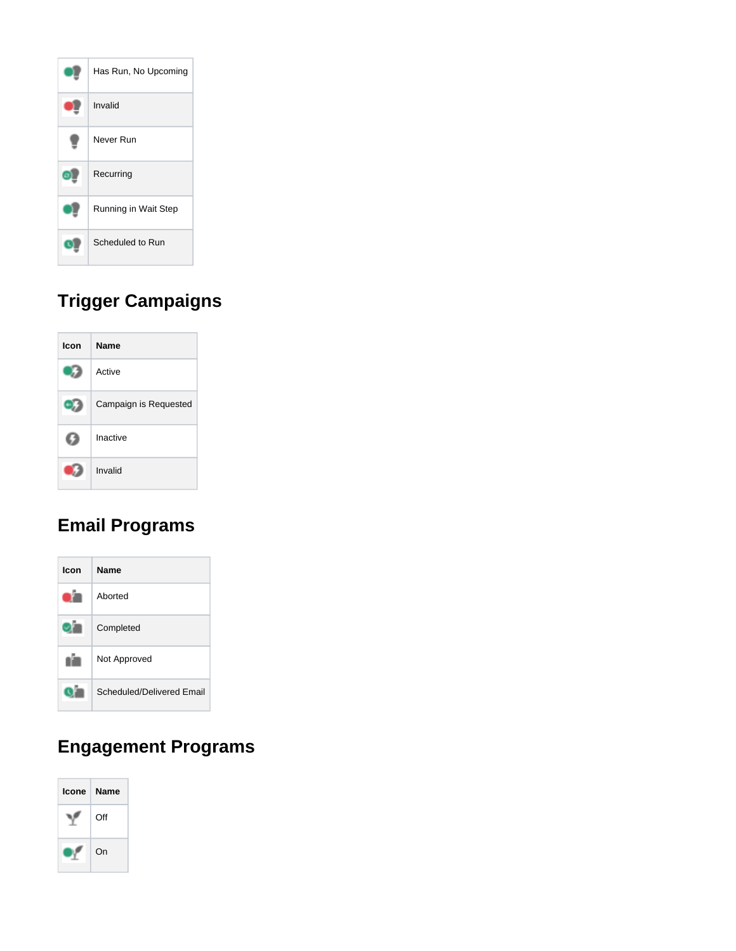

# <span id="page-10-0"></span>**Trigger Campaigns**



# <span id="page-10-1"></span>**Email Programs**



# <span id="page-10-2"></span>**Engagement Programs**

<span id="page-10-3"></span>